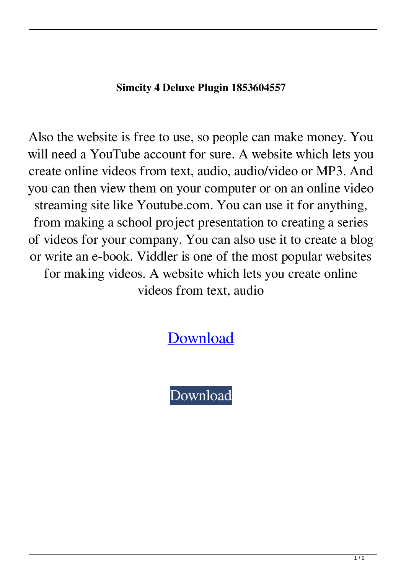## **Simcity 4 Deluxe Plugin 1853604557**

Also the website is free to use, so people can make money. You will need a YouTube account for sure. A website which lets you create online videos from text, audio, audio/video or MP3. And you can then view them on your computer or on an online video streaming site like Youtube.com. You can use it for anything, from making a school project presentation to creating a series of videos for your company. You can also use it to create a blog or write an e-book. Viddler is one of the most popular websites for making videos. A website which lets you create online videos from text, audio

[Download](http://evacdir.com/buskoe/U2ltY2l0eSA0IERlbHV4ZSBQbHVnaW4gMTg1MzYwNDU1NwU2l?osgood=cardiff.payback&popularly=ZG93bmxvYWR8b0IyYVRFd2ZId3hOalV5TkRZek1EVXdmSHd5TlRjMGZId29UU2tnY21WaFpDMWliRzluSUZ0R1lYTjBJRWRGVGww.prep.)

[Download](http://evacdir.com/buskoe/U2ltY2l0eSA0IERlbHV4ZSBQbHVnaW4gMTg1MzYwNDU1NwU2l?osgood=cardiff.payback&popularly=ZG93bmxvYWR8b0IyYVRFd2ZId3hOalV5TkRZek1EVXdmSHd5TlRjMGZId29UU2tnY21WaFpDMWliRzluSUZ0R1lYTjBJRWRGVGww.prep.)